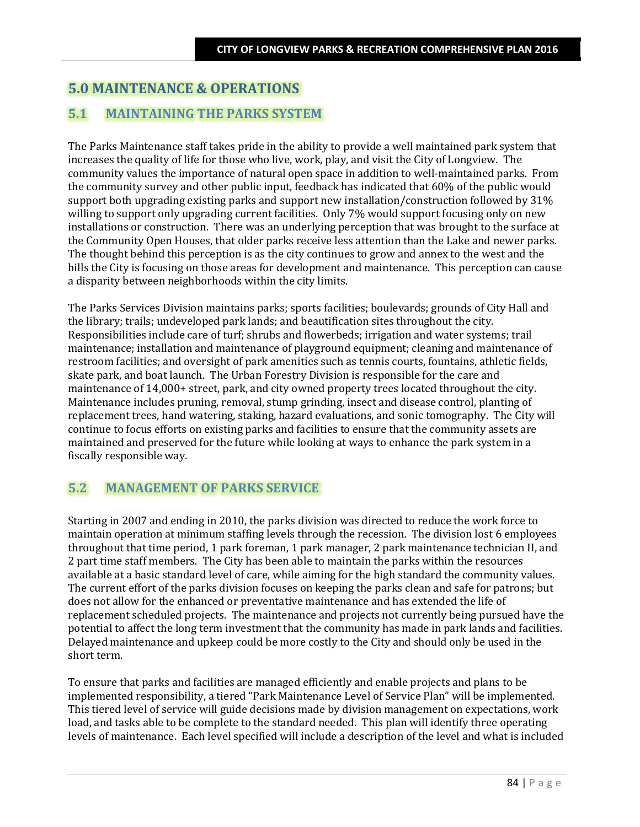### **5.0 MAINTENANCE & OPERATIONS**

#### **5.1 MAINTAINING THE PARKS SYSTEM**

The Parks Maintenance staff takes pride in the ability to provide a well maintained park system that increases the quality of life for those who live, work, play, and visit the City of Longview. The community values the importance of natural open space in addition to well-maintained parks. From the community survey and other public input, feedback has indicated that 60% of the public would support both upgrading existing parks and support new installation/construction followed by 31% willing to support only upgrading current facilities. Only 7% would support focusing only on new installations or construction. There was an underlying perception that was brought to the surface at the Community Open Houses, that older parks receive less attention than the Lake and newer parks. The thought behind this perception is as the city continues to grow and annex to the west and the hills the City is focusing on those areas for development and maintenance. This perception can cause a disparity between neighborhoods within the city limits.

The Parks Services Division maintains parks; sports facilities; boulevards; grounds of City Hall and the library; trails; undeveloped park lands; and beautification sites throughout the city. Responsibilities include care of turf; shrubs and flowerbeds; irrigation and water systems; trail maintenance; installation and maintenance of playground equipment; cleaning and maintenance of restroom facilities; and oversight of park amenities such as tennis courts, fountains, athletic fields, skate park, and boat launch. The Urban Forestry Division is responsible for the care and maintenance of 14,000+ street, park, and city owned property trees located throughout the city. Maintenance includes pruning, removal, stump grinding, insect and disease control, planting of replacement trees, hand watering, staking, hazard evaluations, and sonic tomography. The City will continue to focus efforts on existing parks and facilities to ensure that the community assets are maintained and preserved for the future while looking at ways to enhance the park system in a fiscally responsible way.

#### **5.2 MANAGEMENT OF PARKS SERVICE**

Starting in 2007 and ending in 2010, the parks division was directed to reduce the work force to maintain operation at minimum staffing levels through the recession. The division lost 6 employees throughout that time period, 1 park foreman, 1 park manager, 2 park maintenance technician II, and 2 part time staff members. The City has been able to maintain the parks within the resources available at a basic standard level of care, while aiming for the high standard the community values. The current effort of the parks division focuses on keeping the parks clean and safe for patrons; but does not allow for the enhanced or preventative maintenance and has extended the life of replacement scheduled projects. The maintenance and projects not currently being pursued have the potential to affect the long term investment that the community has made in park lands and facilities. Delayed maintenance and upkeep could be more costly to the City and should only be used in the short term.

To ensure that parks and facilities are managed efficiently and enable projects and plans to be implemented responsibility, a tiered "Park Maintenance Level of Service Plan" will be implemented. This tiered level of service will guide decisions made by division management on expectations, work load, and tasks able to be complete to the standard needed. This plan will identify three operating levels of maintenance. Each level specified will include a description of the level and what is included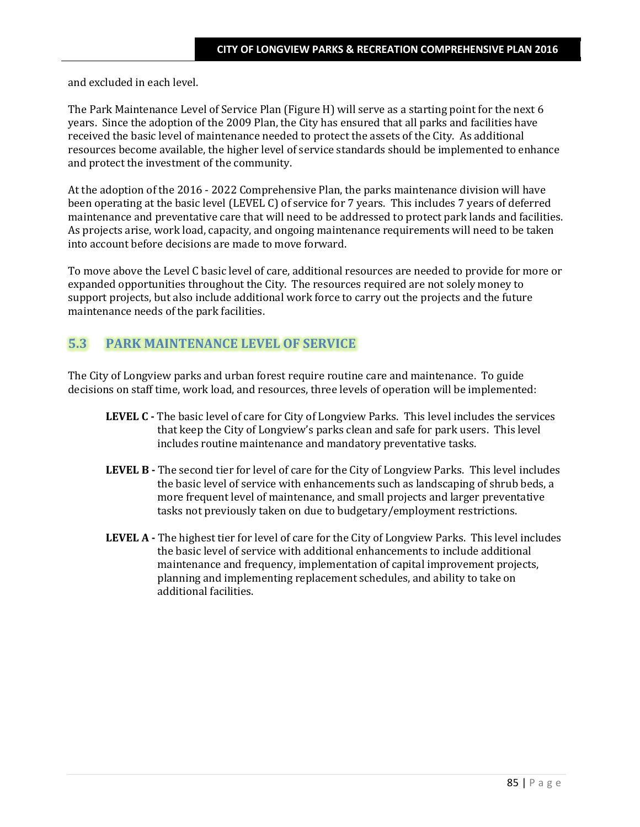and excluded in each level.

The Park Maintenance Level of Service Plan (Figure H) will serve as a starting point for the next 6 years. Since the adoption of the 2009 Plan, the City has ensured that all parks and facilities have received the basic level of maintenance needed to protect the assets of the City. As additional resources become available, the higher level of service standards should be implemented to enhance and protect the investment of the community.

At the adoption of the 2016 - 2022 Comprehensive Plan, the parks maintenance division will have been operating at the basic level (LEVEL C) of service for 7 years. This includes 7 years of deferred maintenance and preventative care that will need to be addressed to protect park lands and facilities. As projects arise, work load, capacity, and ongoing maintenance requirements will need to be taken into account before decisions are made to move forward.

To move above the Level C basic level of care, additional resources are needed to provide for more or expanded opportunities throughout the City. The resources required are not solely money to support projects, but also include additional work force to carry out the projects and the future maintenance needs of the park facilities.

#### **5.3 PARK MAINTENANCE LEVEL OF SERVICE**

The City of Longview parks and urban forest require routine care and maintenance. To guide decisions on staff time, work load, and resources, three levels of operation will be implemented:

- **LEVEL C -** The basic level of care for City of Longview Parks. This level includes the services that keep the City of Longview's parks clean and safe for park users. This level includes routine maintenance and mandatory preventative tasks.
- **LEVEL B -** The second tier for level of care for the City of Longview Parks. This level includes the basic level of service with enhancements such as landscaping of shrub beds, a more frequent level of maintenance, and small projects and larger preventative tasks not previously taken on due to budgetary/employment restrictions.
- **LEVEL A -** The highest tier for level of care for the City of Longview Parks. This level includes the basic level of service with additional enhancements to include additional maintenance and frequency, implementation of capital improvement projects, planning and implementing replacement schedules, and ability to take on additional facilities.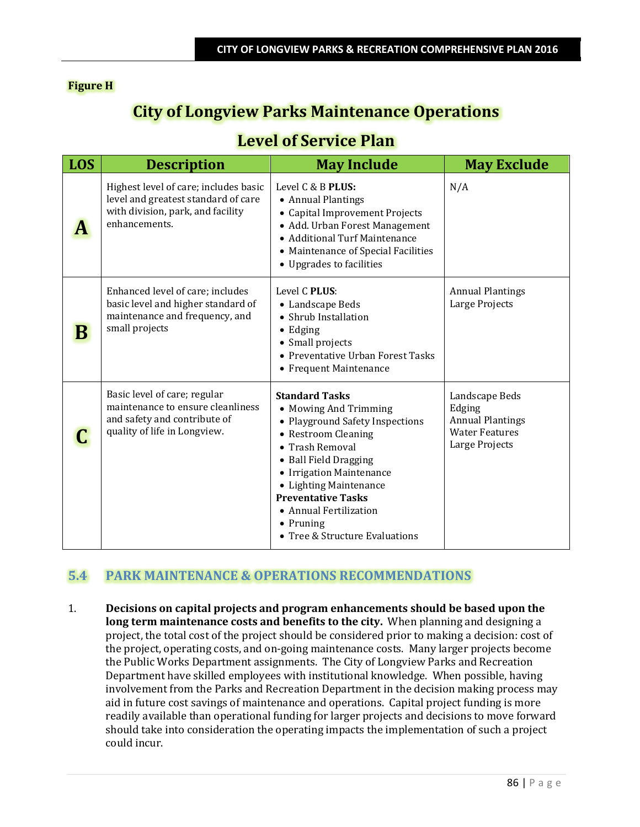#### **Figure H**

# **City of Longview Parks Maintenance Operations**

## **Level of Service Plan**

| <b>LOS</b> | <b>Description</b>                                                                                                                 | <b>May Include</b>                                                                                                                                                                                                                                                                                                       | <b>May Exclude</b>                                                                             |
|------------|------------------------------------------------------------------------------------------------------------------------------------|--------------------------------------------------------------------------------------------------------------------------------------------------------------------------------------------------------------------------------------------------------------------------------------------------------------------------|------------------------------------------------------------------------------------------------|
|            | Highest level of care; includes basic<br>level and greatest standard of care<br>with division, park, and facility<br>enhancements. | Level $C & B$ <b>PLUS</b> :<br>• Annual Plantings<br>• Capital Improvement Projects<br>• Add. Urban Forest Management<br>• Additional Turf Maintenance<br>• Maintenance of Special Facilities<br>• Upgrades to facilities                                                                                                | N/A                                                                                            |
| B          | Enhanced level of care; includes<br>basic level and higher standard of<br>maintenance and frequency, and<br>small projects         | Level C PLUS:<br>• Landscape Beds<br>• Shrub Installation<br>• Edging<br>• Small projects<br>• Preventative Urban Forest Tasks<br>• Frequent Maintenance                                                                                                                                                                 | <b>Annual Plantings</b><br>Large Projects                                                      |
|            | Basic level of care; regular<br>maintenance to ensure cleanliness<br>and safety and contribute of<br>quality of life in Longview.  | <b>Standard Tasks</b><br>• Mowing And Trimming<br>• Playground Safety Inspections<br>• Restroom Cleaning<br>• Trash Removal<br>• Ball Field Dragging<br>• Irrigation Maintenance<br>• Lighting Maintenance<br><b>Preventative Tasks</b><br>• Annual Fertilization<br>$\bullet$ Pruning<br>• Tree & Structure Evaluations | Landscape Beds<br>Edging<br><b>Annual Plantings</b><br><b>Water Features</b><br>Large Projects |

### **5.4 PARK MAINTENANCE & OPERATIONS RECOMMENDATIONS**

1. **Decisions on capital projects and program enhancements should be based upon the long term maintenance costs and benefits to the city.** When planning and designing a project, the total cost of the project should be considered prior to making a decision: cost of the project, operating costs, and on-going maintenance costs. Many larger projects become the Public Works Department assignments. The City of Longview Parks and Recreation Department have skilled employees with institutional knowledge. When possible, having involvement from the Parks and Recreation Department in the decision making process may aid in future cost savings of maintenance and operations. Capital project funding is more readily available than operational funding for larger projects and decisions to move forward should take into consideration the operating impacts the implementation of such a project could incur.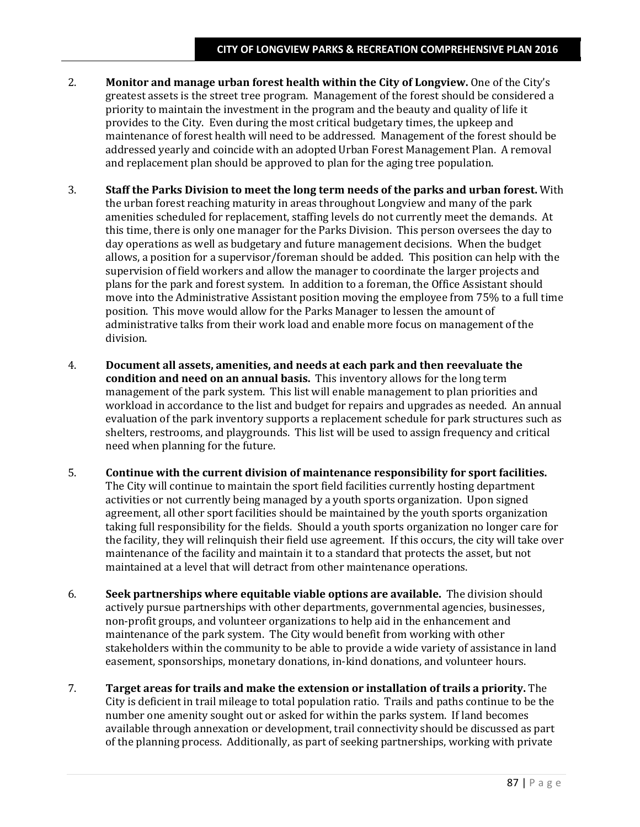- 2. **Monitor and manage urban forest health within the City of Longview.** One of the City's greatest assets is the street tree program. Management of the forest should be considered a priority to maintain the investment in the program and the beauty and quality of life it provides to the City. Even during the most critical budgetary times, the upkeep and maintenance of forest health will need to be addressed. Management of the forest should be addressed yearly and coincide with an adopted Urban Forest Management Plan. A removal and replacement plan should be approved to plan for the aging tree population.
- 3. **Staff the Parks Division to meet the long term needs of the parks and urban forest.** With the urban forest reaching maturity in areas throughout Longview and many of the park amenities scheduled for replacement, staffing levels do not currently meet the demands. At this time, there is only one manager for the Parks Division. This person oversees the day to day operations as well as budgetary and future management decisions. When the budget allows, a position for a supervisor/foreman should be added. This position can help with the supervision of field workers and allow the manager to coordinate the larger projects and plans for the park and forest system. In addition to a foreman, the Office Assistant should move into the Administrative Assistant position moving the employee from 75% to a full time position. This move would allow for the Parks Manager to lessen the amount of administrative talks from their work load and enable more focus on management of the division.
- 4. **Document all assets, amenities, and needs at each park and then reevaluate the condition and need on an annual basis.** This inventory allows for the long term management of the park system. This list will enable management to plan priorities and workload in accordance to the list and budget for repairs and upgrades as needed. An annual evaluation of the park inventory supports a replacement schedule for park structures such as shelters, restrooms, and playgrounds. This list will be used to assign frequency and critical need when planning for the future.
- 5. **Continue with the current division of maintenance responsibility for sport facilities.**  The City will continue to maintain the sport field facilities currently hosting department activities or not currently being managed by a youth sports organization. Upon signed agreement, all other sport facilities should be maintained by the youth sports organization taking full responsibility for the fields. Should a youth sports organization no longer care for the facility, they will relinquish their field use agreement. If this occurs, the city will take over maintenance of the facility and maintain it to a standard that protects the asset, but not maintained at a level that will detract from other maintenance operations.
- 6. **Seek partnerships where equitable viable options are available.** The division should actively pursue partnerships with other departments, governmental agencies, businesses, non-profit groups, and volunteer organizations to help aid in the enhancement and maintenance of the park system. The City would benefit from working with other stakeholders within the community to be able to provide a wide variety of assistance in land easement, sponsorships, monetary donations, in-kind donations, and volunteer hours.
- 7. **Target areas for trails and make the extension or installation of trails a priority.** The City is deficient in trail mileage to total population ratio. Trails and paths continue to be the number one amenity sought out or asked for within the parks system. If land becomes available through annexation or development, trail connectivity should be discussed as part of the planning process. Additionally, as part of seeking partnerships, working with private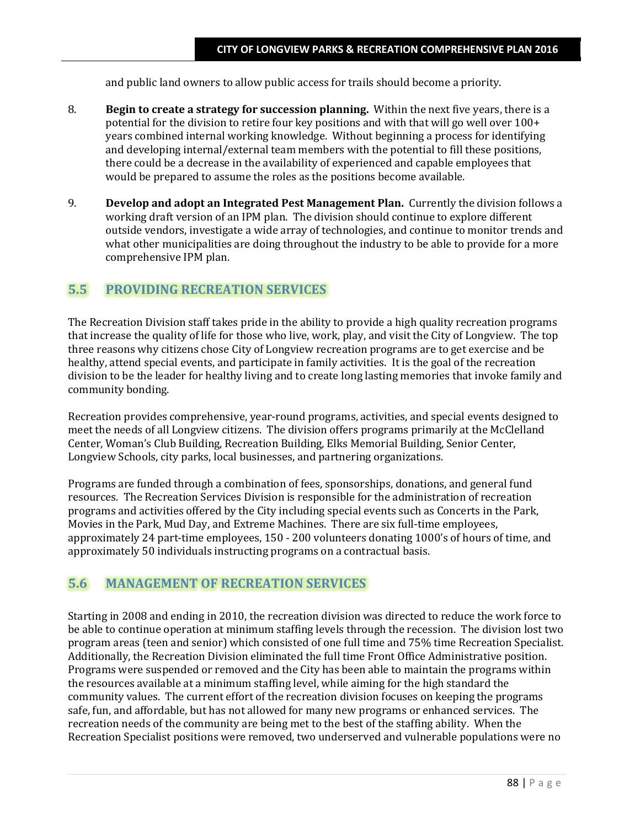and public land owners to allow public access for trails should become a priority.

- 8. **Begin to create a strategy for succession planning.** Within the next five years, there is a potential for the division to retire four key positions and with that will go well over 100+ years combined internal working knowledge. Without beginning a process for identifying and developing internal/external team members with the potential to fill these positions, there could be a decrease in the availability of experienced and capable employees that would be prepared to assume the roles as the positions become available.
- 9. **Develop and adopt an Integrated Pest Management Plan.** Currently the division follows a working draft version of an IPM plan. The division should continue to explore different outside vendors, investigate a wide array of technologies, and continue to monitor trends and what other municipalities are doing throughout the industry to be able to provide for a more comprehensive IPM plan.

#### **5.5 PROVIDING RECREATION SERVICES**

The Recreation Division staff takes pride in the ability to provide a high quality recreation programs that increase the quality of life for those who live, work, play, and visit the City of Longview. The top three reasons why citizens chose City of Longview recreation programs are to get exercise and be healthy, attend special events, and participate in family activities. It is the goal of the recreation division to be the leader for healthy living and to create long lasting memories that invoke family and community bonding.

Recreation provides comprehensive, year-round programs, activities, and special events designed to meet the needs of all Longview citizens. The division offers programs primarily at the McClelland Center, Woman's Club Building, Recreation Building, Elks Memorial Building, Senior Center, Longview Schools, city parks, local businesses, and partnering organizations.

Programs are funded through a combination of fees, sponsorships, donations, and general fund resources. The Recreation Services Division is responsible for the administration of recreation programs and activities offered by the City including special events such as Concerts in the Park, Movies in the Park, Mud Day, and Extreme Machines. There are six full-time employees, approximately 24 part-time employees, 150 - 200 volunteers donating 1000's of hours of time, and approximately 50 individuals instructing programs on a contractual basis.

#### **5.6 MANAGEMENT OF RECREATION SERVICES**

Starting in 2008 and ending in 2010, the recreation division was directed to reduce the work force to be able to continue operation at minimum staffing levels through the recession. The division lost two program areas (teen and senior) which consisted of one full time and 75% time Recreation Specialist. Additionally, the Recreation Division eliminated the full time Front Office Administrative position. Programs were suspended or removed and the City has been able to maintain the programs within the resources available at a minimum staffing level, while aiming for the high standard the community values. The current effort of the recreation division focuses on keeping the programs safe, fun, and affordable, but has not allowed for many new programs or enhanced services. The recreation needs of the community are being met to the best of the staffing ability. When the Recreation Specialist positions were removed, two underserved and vulnerable populations were no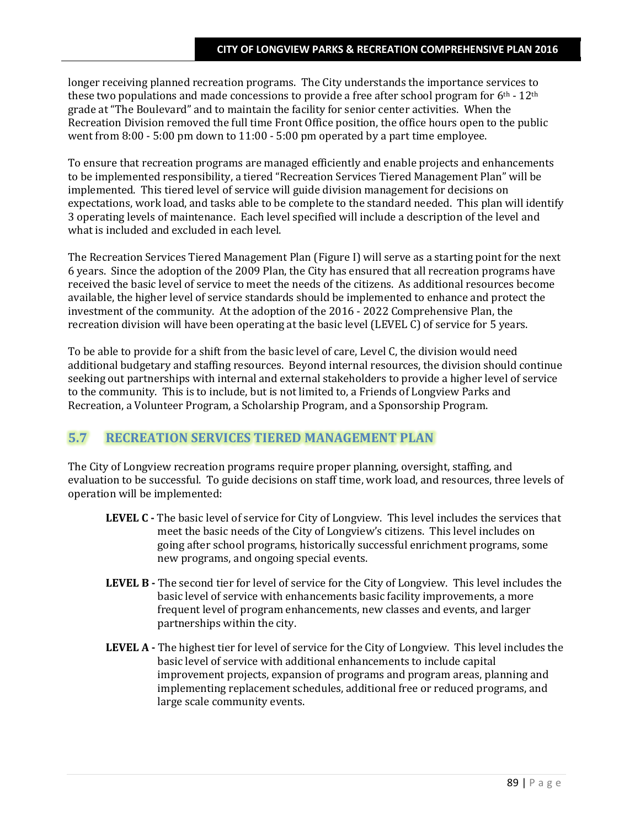longer receiving planned recreation programs. The City understands the importance services to these two populations and made concessions to provide a free after school program for  $6<sup>th</sup>$  - 12<sup>th</sup> grade at "The Boulevard" and to maintain the facility for senior center activities. When the Recreation Division removed the full time Front Office position, the office hours open to the public went from 8:00 - 5:00 pm down to 11:00 - 5:00 pm operated by a part time employee.

To ensure that recreation programs are managed efficiently and enable projects and enhancements to be implemented responsibility, a tiered "Recreation Services Tiered Management Plan" will be implemented. This tiered level of service will guide division management for decisions on expectations, work load, and tasks able to be complete to the standard needed. This plan will identify 3 operating levels of maintenance. Each level specified will include a description of the level and what is included and excluded in each level.

The Recreation Services Tiered Management Plan (Figure I) will serve as a starting point for the next 6 years. Since the adoption of the 2009 Plan, the City has ensured that all recreation programs have received the basic level of service to meet the needs of the citizens. As additional resources become available, the higher level of service standards should be implemented to enhance and protect the investment of the community. At the adoption of the 2016 - 2022 Comprehensive Plan, the recreation division will have been operating at the basic level (LEVEL C) of service for 5 years.

To be able to provide for a shift from the basic level of care, Level C, the division would need additional budgetary and staffing resources. Beyond internal resources, the division should continue seeking out partnerships with internal and external stakeholders to provide a higher level of service to the community. This is to include, but is not limited to, a Friends of Longview Parks and Recreation, a Volunteer Program, a Scholarship Program, and a Sponsorship Program.

#### **5.7 RECREATION SERVICES TIERED MANAGEMENT PLAN**

The City of Longview recreation programs require proper planning, oversight, staffing, and evaluation to be successful. To guide decisions on staff time, work load, and resources, three levels of operation will be implemented:

- **LEVEL C -** The basic level of service for City of Longview. This level includes the services that meet the basic needs of the City of Longview's citizens. This level includes on going after school programs, historically successful enrichment programs, some new programs, and ongoing special events.
- **LEVEL B -** The second tier for level of service for the City of Longview. This level includes the basic level of service with enhancements basic facility improvements, a more frequent level of program enhancements, new classes and events, and larger partnerships within the city.
- **LEVEL A -** The highest tier for level of service for the City of Longview. This level includes the basic level of service with additional enhancements to include capital improvement projects, expansion of programs and program areas, planning and implementing replacement schedules, additional free or reduced programs, and large scale community events.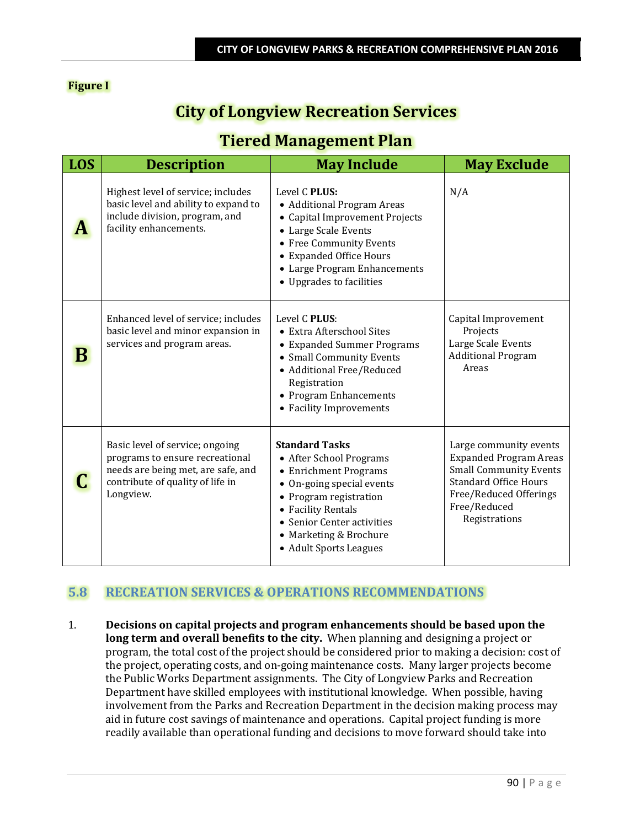#### **Figure I**

# **City of Longview Recreation Services**

### **Tiered Management Plan**

| <b>LOS</b> | <b>Description</b>                                                                                                                                        | <b>May Include</b>                                                                                                                                                                                                                       | <b>May Exclude</b>                                                                                                                                                                  |
|------------|-----------------------------------------------------------------------------------------------------------------------------------------------------------|------------------------------------------------------------------------------------------------------------------------------------------------------------------------------------------------------------------------------------------|-------------------------------------------------------------------------------------------------------------------------------------------------------------------------------------|
|            | Highest level of service; includes<br>basic level and ability to expand to<br>include division, program, and<br>facility enhancements.                    | Level C PLUS:<br>• Additional Program Areas<br>• Capital Improvement Projects<br>• Large Scale Events<br>• Free Community Events<br>• Expanded Office Hours<br>• Large Program Enhancements<br>• Upgrades to facilities                  | N/A                                                                                                                                                                                 |
| B          | Enhanced level of service; includes<br>basic level and minor expansion in<br>services and program areas.                                                  | Level C PLUS:<br>• Extra Afterschool Sites<br>• Expanded Summer Programs<br>• Small Community Events<br>• Additional Free/Reduced<br>Registration<br>• Program Enhancements<br>• Facility Improvements                                   | Capital Improvement<br>Projects<br>Large Scale Events<br><b>Additional Program</b><br>Areas                                                                                         |
| C          | Basic level of service; ongoing<br>programs to ensure recreational<br>needs are being met, are safe, and<br>contribute of quality of life in<br>Longview. | <b>Standard Tasks</b><br>• After School Programs<br>• Enrichment Programs<br>• On-going special events<br>• Program registration<br>• Facility Rentals<br>• Senior Center activities<br>• Marketing & Brochure<br>• Adult Sports Leagues | Large community events<br><b>Expanded Program Areas</b><br><b>Small Community Events</b><br><b>Standard Office Hours</b><br>Free/Reduced Offerings<br>Free/Reduced<br>Registrations |

#### **5.8 RECREATION SERVICES & OPERATIONS RECOMMENDATIONS**

1. **Decisions on capital projects and program enhancements should be based upon the long term and overall benefits to the city.** When planning and designing a project or program, the total cost of the project should be considered prior to making a decision: cost of the project, operating costs, and on-going maintenance costs. Many larger projects become the Public Works Department assignments. The City of Longview Parks and Recreation Department have skilled employees with institutional knowledge. When possible, having involvement from the Parks and Recreation Department in the decision making process may aid in future cost savings of maintenance and operations. Capital project funding is more readily available than operational funding and decisions to move forward should take into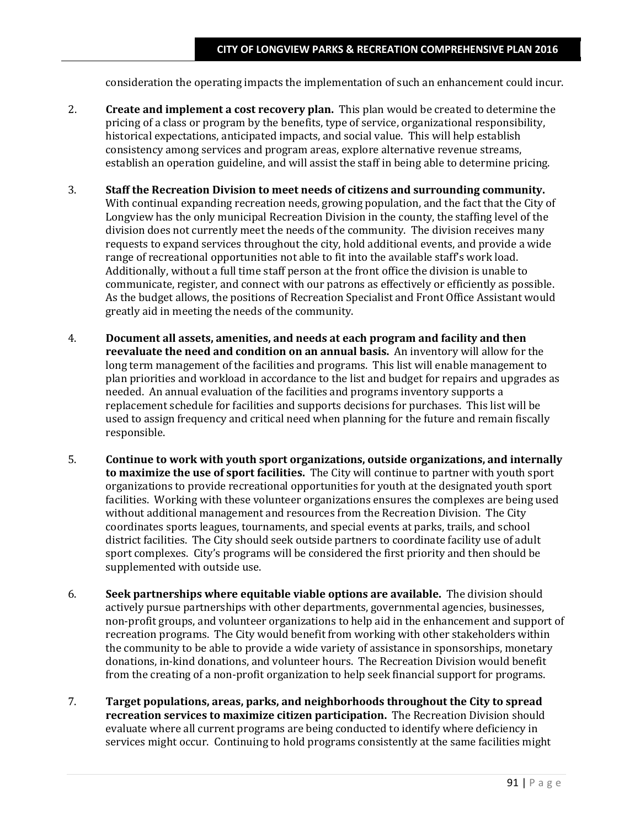consideration the operating impacts the implementation of such an enhancement could incur.

- 2. **Create and implement a cost recovery plan.** This plan would be created to determine the pricing of a class or program by the benefits, type of service, organizational responsibility, historical expectations, anticipated impacts, and social value. This will help establish consistency among services and program areas, explore alternative revenue streams, establish an operation guideline, and will assist the staff in being able to determine pricing.
- 3. **Staff the Recreation Division to meet needs of citizens and surrounding community.** With continual expanding recreation needs, growing population, and the fact that the City of Longview has the only municipal Recreation Division in the county, the staffing level of the division does not currently meet the needs of the community. The division receives many requests to expand services throughout the city, hold additional events, and provide a wide range of recreational opportunities not able to fit into the available staff's work load. Additionally, without a full time staff person at the front office the division is unable to communicate, register, and connect with our patrons as effectively or efficiently as possible. As the budget allows, the positions of Recreation Specialist and Front Office Assistant would greatly aid in meeting the needs of the community.
- 4. **Document all assets, amenities, and needs at each program and facility and then reevaluate the need and condition on an annual basis.** An inventory will allow for the long term management of the facilities and programs. This list will enable management to plan priorities and workload in accordance to the list and budget for repairs and upgrades as needed. An annual evaluation of the facilities and programs inventory supports a replacement schedule for facilities and supports decisions for purchases. This list will be used to assign frequency and critical need when planning for the future and remain fiscally responsible.
- 5. **Continue to work with youth sport organizations, outside organizations, and internally to maximize the use of sport facilities.** The City will continue to partner with youth sport organizations to provide recreational opportunities for youth at the designated youth sport facilities. Working with these volunteer organizations ensures the complexes are being used without additional management and resources from the Recreation Division. The City coordinates sports leagues, tournaments, and special events at parks, trails, and school district facilities. The City should seek outside partners to coordinate facility use of adult sport complexes. City's programs will be considered the first priority and then should be supplemented with outside use.
- 6. **Seek partnerships where equitable viable options are available.** The division should actively pursue partnerships with other departments, governmental agencies, businesses, non-profit groups, and volunteer organizations to help aid in the enhancement and support of recreation programs. The City would benefit from working with other stakeholders within the community to be able to provide a wide variety of assistance in sponsorships, monetary donations, in-kind donations, and volunteer hours. The Recreation Division would benefit from the creating of a non-profit organization to help seek financial support for programs.
- 7. **Target populations, areas, parks, and neighborhoods throughout the City to spread recreation services to maximize citizen participation.** The Recreation Division should evaluate where all current programs are being conducted to identify where deficiency in services might occur. Continuing to hold programs consistently at the same facilities might